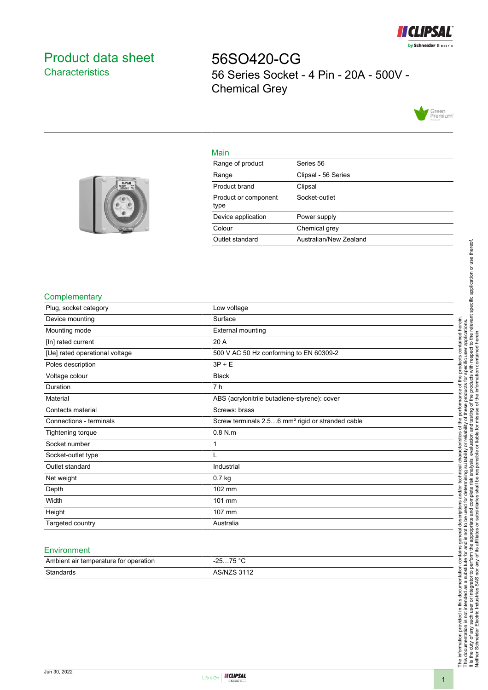

# <span id="page-0-0"></span>Product data sheet **Characteristics**

56SO420-CG 56 Series Socket - 4 Pin - 20A - 500V - Chemical Grey



## Main

| Range of product             | Series 56              |
|------------------------------|------------------------|
| Range                        | Clipsal - 56 Series    |
| Product brand                | Clipsal                |
| Product or component<br>type | Socket-outlet          |
| Device application           | Power supply           |
| Colour                       | Chemical grey          |
| Outlet standard              | Australian/New Zealand |
|                              |                        |



### **Complementary**

| Plug, socket category          | Low voltage                                                  |
|--------------------------------|--------------------------------------------------------------|
| Device mounting                | Surface                                                      |
| Mounting mode                  | External mounting                                            |
| [In] rated current             | 20 A                                                         |
| [Ue] rated operational voltage | 500 V AC 50 Hz conforming to EN 60309-2                      |
| Poles description              | $3P + E$                                                     |
| Voltage colour                 | <b>Black</b>                                                 |
| Duration                       | 7 h                                                          |
| Material                       | ABS (acrylonitrile butadiene-styrene): cover                 |
| Contacts material              | Screws: brass                                                |
| Connections - terminals        | Screw terminals 2.56 mm <sup>2</sup> rigid or stranded cable |
| Tightening torque              | $0.8$ N.m                                                    |
| Socket number                  | 1                                                            |
| Socket-outlet type             |                                                              |
| Outlet standard                | Industrial                                                   |
| Net weight                     | $0.7$ kg                                                     |
| Depth                          | 102 mm                                                       |
| Width                          | 101 mm                                                       |
| Height                         | 107 mm                                                       |
| Targeted country               | Australia                                                    |
|                                |                                                              |

#### **Environment**

| Ambient air temperature for operation | 75 °C<br>った<br>،-  |
|---------------------------------------|--------------------|
| Standards                             | <b>AS/NZS 3112</b> |